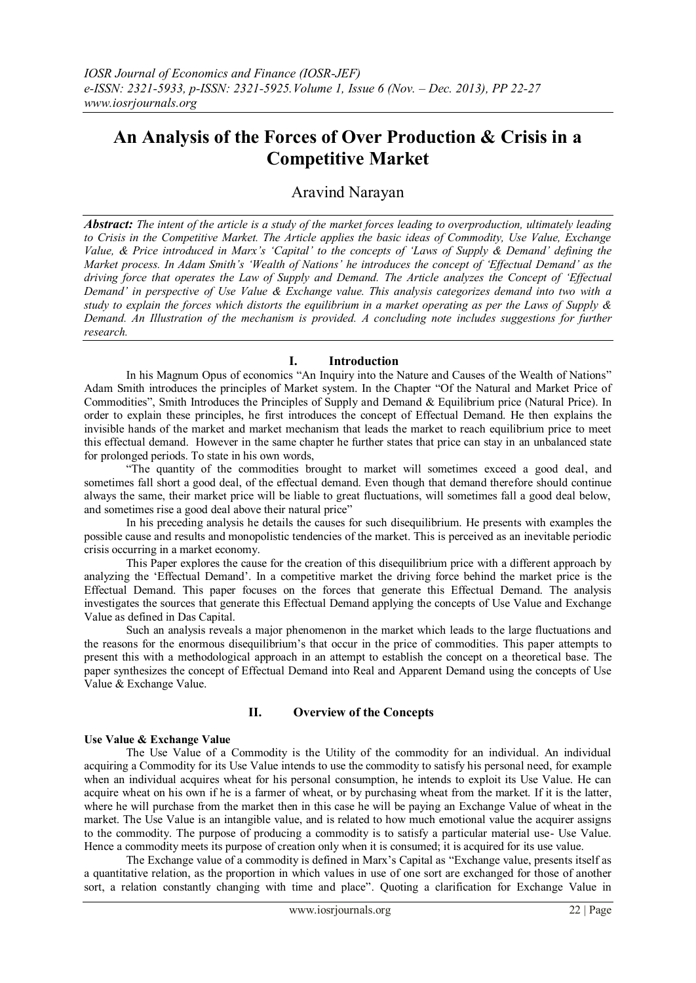# **An Analysis of the Forces of Over Production & Crisis in a Competitive Market**

# Aravind Narayan

*Abstract: The intent of the article is a study of the market forces leading to overproduction, ultimately leading to Crisis in the Competitive Market. The Article applies the basic ideas of Commodity, Use Value, Exchange Value, & Price introduced in Marx's 'Capital' to the concepts of 'Laws of Supply & Demand' defining the Market process. In Adam Smith's 'Wealth of Nations' he introduces the concept of 'Effectual Demand' as the driving force that operates the Law of Supply and Demand. The Article analyzes the Concept of 'Effectual Demand' in perspective of Use Value & Exchange value. This analysis categorizes demand into two with a study to explain the forces which distorts the equilibrium in a market operating as per the Laws of Supply & Demand. An Illustration of the mechanism is provided. A concluding note includes suggestions for further research.*

# **I. Introduction**

In his Magnum Opus of economics "An Inquiry into the Nature and Causes of the Wealth of Nations" Adam Smith introduces the principles of Market system. In the Chapter "Of the Natural and Market Price of Commodities", Smith Introduces the Principles of Supply and Demand & Equilibrium price (Natural Price). In order to explain these principles, he first introduces the concept of Effectual Demand. He then explains the invisible hands of the market and market mechanism that leads the market to reach equilibrium price to meet this effectual demand. However in the same chapter he further states that price can stay in an unbalanced state for prolonged periods. To state in his own words,

"The quantity of the commodities brought to market will sometimes exceed a good deal, and sometimes fall short a good deal, of the effectual demand. Even though that demand therefore should continue always the same, their market price will be liable to great fluctuations, will sometimes fall a good deal below, and sometimes rise a good deal above their natural price"

In his preceding analysis he details the causes for such disequilibrium. He presents with examples the possible cause and results and monopolistic tendencies of the market. This is perceived as an inevitable periodic crisis occurring in a market economy.

This Paper explores the cause for the creation of this disequilibrium price with a different approach by analyzing the "Effectual Demand". In a competitive market the driving force behind the market price is the Effectual Demand. This paper focuses on the forces that generate this Effectual Demand. The analysis investigates the sources that generate this Effectual Demand applying the concepts of Use Value and Exchange Value as defined in Das Capital.

Such an analysis reveals a major phenomenon in the market which leads to the large fluctuations and the reasons for the enormous disequilibrium"s that occur in the price of commodities. This paper attempts to present this with a methodological approach in an attempt to establish the concept on a theoretical base. The paper synthesizes the concept of Effectual Demand into Real and Apparent Demand using the concepts of Use Value & Exchange Value.

# **II. Overview of the Concepts**

#### **Use Value & Exchange Value**

The Use Value of a Commodity is the Utility of the commodity for an individual. An individual acquiring a Commodity for its Use Value intends to use the commodity to satisfy his personal need, for example when an individual acquires wheat for his personal consumption, he intends to exploit its Use Value. He can acquire wheat on his own if he is a farmer of wheat, or by purchasing wheat from the market. If it is the latter, where he will purchase from the market then in this case he will be paying an Exchange Value of wheat in the market. The Use Value is an intangible value, and is related to how much emotional value the acquirer assigns to the commodity. The purpose of producing a commodity is to satisfy a particular material use- Use Value. Hence a commodity meets its purpose of creation only when it is consumed; it is acquired for its use value.

The Exchange value of a commodity is defined in Marx"s Capital as "Exchange value, presents itself as a quantitative relation, as the proportion in which values in use of one sort are exchanged for those of another sort, a relation constantly changing with time and place". Quoting a clarification for Exchange Value in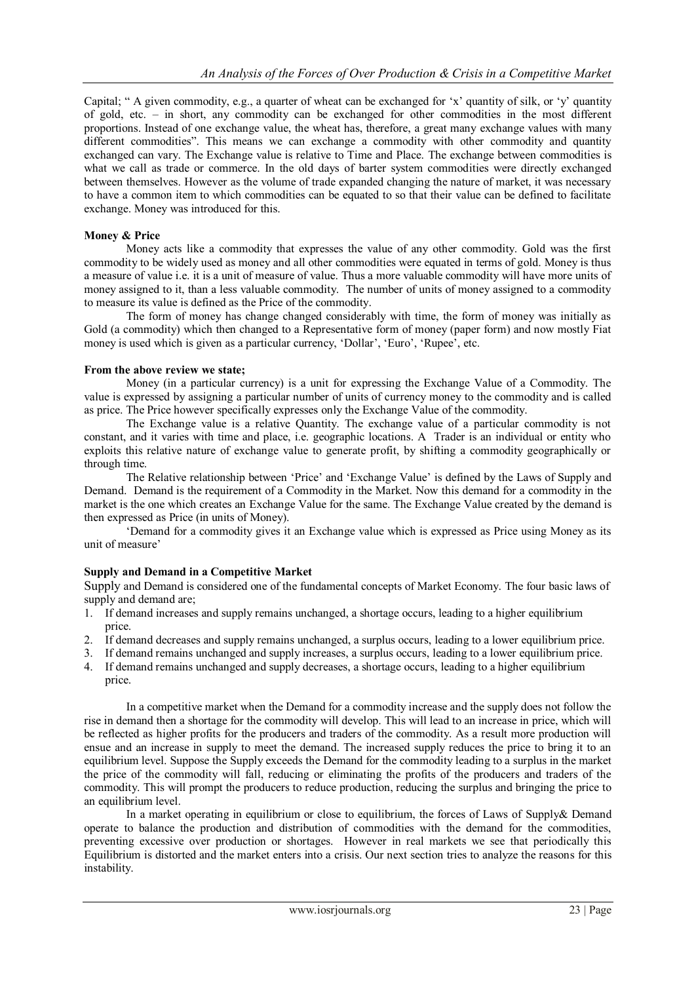Capital; " A given commodity, e.g., a quarter of wheat can be exchanged for 'x' quantity of silk, or 'y' quantity of gold, etc. – in short, any commodity can be exchanged for other commodities in the most different proportions. Instead of one exchange value, the wheat has, therefore, a great many exchange values with many different commodities". This means we can exchange a commodity with other commodity and quantity exchanged can vary. The Exchange value is relative to Time and Place. The exchange between commodities is what we call as trade or commerce. In the old days of barter system commodities were directly exchanged between themselves. However as the volume of trade expanded changing the nature of market, it was necessary to have a common item to which commodities can be equated to so that their value can be defined to facilitate exchange. Money was introduced for this.

#### **Money & Price**

Money acts like a commodity that expresses the value of any other commodity. Gold was the first commodity to be widely used as money and all other commodities were equated in terms of gold. Money is thus a measure of value i.e. it is a unit of measure of value. Thus a more valuable commodity will have more units of money assigned to it, than a less valuable commodity. The number of units of money assigned to a commodity to measure its value is defined as the Price of the commodity.

The form of money has change changed considerably with time, the form of money was initially as Gold (a commodity) which then changed to a Representative form of money (paper form) and now mostly Fiat money is used which is given as a particular currency, 'Dollar', 'Euro', 'Rupee', etc.

#### **From the above review we state;**

Money (in a particular currency) is a unit for expressing the Exchange Value of a Commodity. The value is expressed by assigning a particular number of units of currency money to the commodity and is called as price. The Price however specifically expresses only the Exchange Value of the commodity.

The Exchange value is a relative Quantity. The exchange value of a particular commodity is not constant, and it varies with time and place, i.e. geographic locations. A Trader is an individual or entity who exploits this relative nature of exchange value to generate profit, by shifting a commodity geographically or through time.

The Relative relationship between "Price" and "Exchange Value" is defined by the Laws of Supply and Demand. Demand is the requirement of a Commodity in the Market. Now this demand for a commodity in the market is the one which creates an Exchange Value for the same. The Exchange Value created by the demand is then expressed as Price (in units of Money).

"Demand for a commodity gives it an Exchange value which is expressed as Price using Money as its unit of measure'

#### **Supply and Demand in a Competitive Market**

Supply and Demand is considered one of the fundamental concepts of Market Economy. The four basic laws of supply and demand are;

- 1. If demand increases and supply remains unchanged, a shortage occurs, leading to a higher equilibrium price.
- 2. If demand decreases and supply remains unchanged, a surplus occurs, leading to a lower equilibrium price.
- 3. If demand remains unchanged and supply increases, a surplus occurs, leading to a lower equilibrium price.
- 4. If demand remains unchanged and supply decreases, a shortage occurs, leading to a higher equilibrium price.

In a competitive market when the Demand for a commodity increase and the supply does not follow the rise in demand then a shortage for the commodity will develop. This will lead to an increase in price, which will be reflected as higher profits for the producers and traders of the commodity. As a result more production will ensue and an increase in supply to meet the demand. The increased supply reduces the price to bring it to an equilibrium level. Suppose the Supply exceeds the Demand for the commodity leading to a surplus in the market the price of the commodity will fall, reducing or eliminating the profits of the producers and traders of the commodity. This will prompt the producers to reduce production, reducing the surplus and bringing the price to an equilibrium level.

In a market operating in equilibrium or close to equilibrium, the forces of Laws of Supply& Demand operate to balance the production and distribution of commodities with the demand for the commodities, preventing excessive over production or shortages. However in real markets we see that periodically this Equilibrium is distorted and the market enters into a crisis. Our next section tries to analyze the reasons for this instability.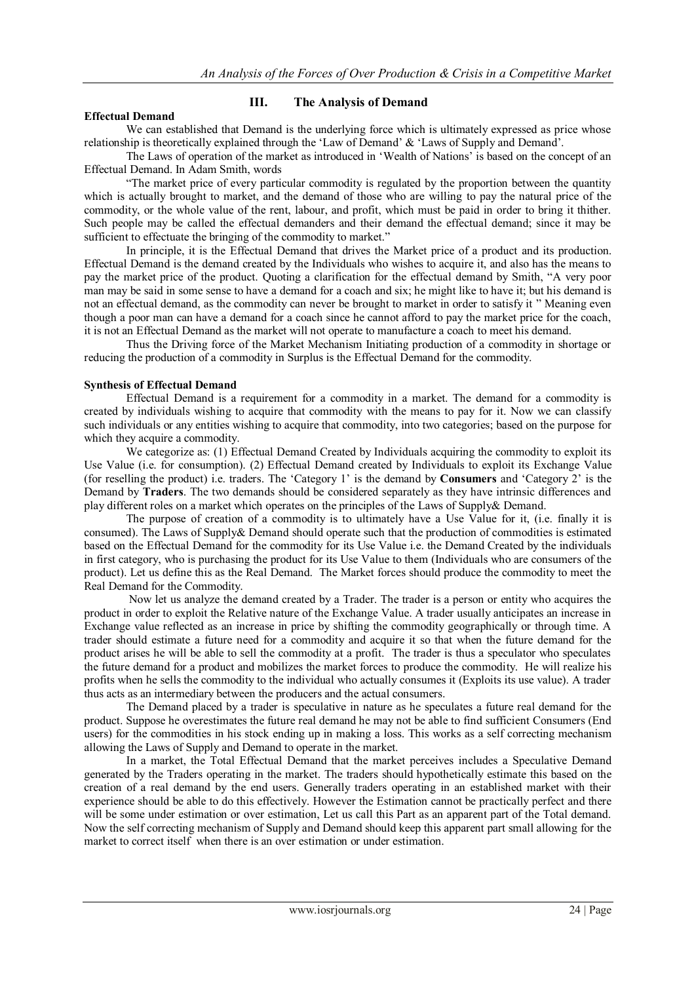#### **Effectual Demand**

#### **III. The Analysis of Demand**

We can established that Demand is the underlying force which is ultimately expressed as price whose relationship is theoretically explained through the 'Law of Demand' & 'Laws of Supply and Demand'.

The Laws of operation of the market as introduced in "Wealth of Nations" is based on the concept of an Effectual Demand. In Adam Smith, words

"The market price of every particular commodity is regulated by the proportion between the quantity which is actually brought to market, and the demand of those who are willing to pay the natural price of the commodity, or the whole value of the rent, labour, and profit, which must be paid in order to bring it thither. Such people may be called the effectual demanders and their demand the effectual demand; since it may be sufficient to effectuate the bringing of the commodity to market."

In principle, it is the Effectual Demand that drives the Market price of a product and its production. Effectual Demand is the demand created by the Individuals who wishes to acquire it, and also has the means to pay the market price of the product. Quoting a clarification for the effectual demand by Smith, "A very poor man may be said in some sense to have a demand for a coach and six; he might like to have it; but his demand is not an effectual demand, as the commodity can never be brought to market in order to satisfy it " Meaning even though a poor man can have a demand for a coach since he cannot afford to pay the market price for the coach, it is not an Effectual Demand as the market will not operate to manufacture a coach to meet his demand.

Thus the Driving force of the Market Mechanism Initiating production of a commodity in shortage or reducing the production of a commodity in Surplus is the Effectual Demand for the commodity.

#### **Synthesis of Effectual Demand**

Effectual Demand is a requirement for a commodity in a market. The demand for a commodity is created by individuals wishing to acquire that commodity with the means to pay for it. Now we can classify such individuals or any entities wishing to acquire that commodity, into two categories; based on the purpose for which they acquire a commodity.

We categorize as: (1) Effectual Demand Created by Individuals acquiring the commodity to exploit its Use Value (i.e. for consumption). (2) Effectual Demand created by Individuals to exploit its Exchange Value (for reselling the product) i.e. traders. The "Category 1" is the demand by **Consumers** and "Category 2" is the Demand by **Traders**. The two demands should be considered separately as they have intrinsic differences and play different roles on a market which operates on the principles of the Laws of Supply& Demand.

The purpose of creation of a commodity is to ultimately have a Use Value for it, (i.e. finally it is consumed). The Laws of Supply& Demand should operate such that the production of commodities is estimated based on the Effectual Demand for the commodity for its Use Value i.e. the Demand Created by the individuals in first category, who is purchasing the product for its Use Value to them (Individuals who are consumers of the product). Let us define this as the Real Demand. The Market forces should produce the commodity to meet the Real Demand for the Commodity.

Now let us analyze the demand created by a Trader. The trader is a person or entity who acquires the product in order to exploit the Relative nature of the Exchange Value. A trader usually anticipates an increase in Exchange value reflected as an increase in price by shifting the commodity geographically or through time. A trader should estimate a future need for a commodity and acquire it so that when the future demand for the product arises he will be able to sell the commodity at a profit. The trader is thus a speculator who speculates the future demand for a product and mobilizes the market forces to produce the commodity. He will realize his profits when he sells the commodity to the individual who actually consumes it (Exploits its use value). A trader thus acts as an intermediary between the producers and the actual consumers.

The Demand placed by a trader is speculative in nature as he speculates a future real demand for the product. Suppose he overestimates the future real demand he may not be able to find sufficient Consumers (End users) for the commodities in his stock ending up in making a loss. This works as a self correcting mechanism allowing the Laws of Supply and Demand to operate in the market.

In a market, the Total Effectual Demand that the market perceives includes a Speculative Demand generated by the Traders operating in the market. The traders should hypothetically estimate this based on the creation of a real demand by the end users. Generally traders operating in an established market with their experience should be able to do this effectively. However the Estimation cannot be practically perfect and there will be some under estimation or over estimation, Let us call this Part as an apparent part of the Total demand. Now the self correcting mechanism of Supply and Demand should keep this apparent part small allowing for the market to correct itself when there is an over estimation or under estimation.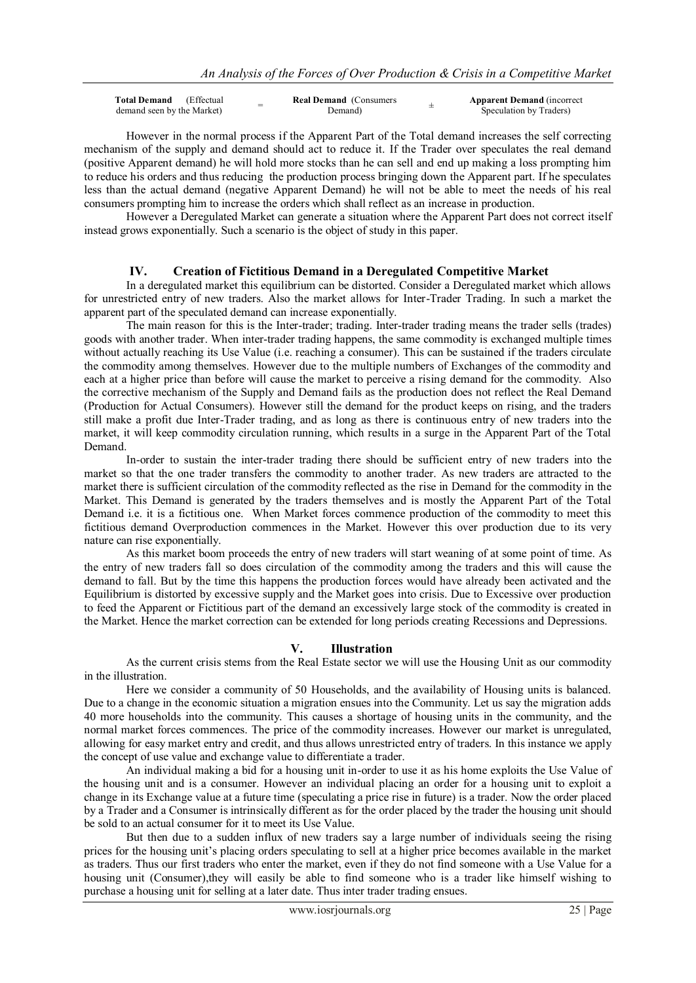| <b>Total Demand</b> (Effectual | - | <b>Real Demand</b> (Consumers | <b>Apparent Demand</b> (incorrect |
|--------------------------------|---|-------------------------------|-----------------------------------|
| demand seen by the Market)     |   | Demand)                       | Speculation by Traders)           |

However in the normal process if the Apparent Part of the Total demand increases the self correcting mechanism of the supply and demand should act to reduce it. If the Trader over speculates the real demand (positive Apparent demand) he will hold more stocks than he can sell and end up making a loss prompting him to reduce his orders and thus reducing the production process bringing down the Apparent part. If he speculates less than the actual demand (negative Apparent Demand) he will not be able to meet the needs of his real consumers prompting him to increase the orders which shall reflect as an increase in production.

However a Deregulated Market can generate a situation where the Apparent Part does not correct itself instead grows exponentially. Such a scenario is the object of study in this paper.

#### **IV. Creation of Fictitious Demand in a Deregulated Competitive Market**

In a deregulated market this equilibrium can be distorted. Consider a Deregulated market which allows for unrestricted entry of new traders. Also the market allows for Inter-Trader Trading. In such a market the apparent part of the speculated demand can increase exponentially.

The main reason for this is the Inter-trader; trading. Inter-trader trading means the trader sells (trades) goods with another trader. When inter-trader trading happens, the same commodity is exchanged multiple times without actually reaching its Use Value (i.e. reaching a consumer). This can be sustained if the traders circulate the commodity among themselves. However due to the multiple numbers of Exchanges of the commodity and each at a higher price than before will cause the market to perceive a rising demand for the commodity. Also the corrective mechanism of the Supply and Demand fails as the production does not reflect the Real Demand (Production for Actual Consumers). However still the demand for the product keeps on rising, and the traders still make a profit due Inter-Trader trading, and as long as there is continuous entry of new traders into the market, it will keep commodity circulation running, which results in a surge in the Apparent Part of the Total Demand.

In-order to sustain the inter-trader trading there should be sufficient entry of new traders into the market so that the one trader transfers the commodity to another trader. As new traders are attracted to the market there is sufficient circulation of the commodity reflected as the rise in Demand for the commodity in the Market. This Demand is generated by the traders themselves and is mostly the Apparent Part of the Total Demand i.e. it is a fictitious one. When Market forces commence production of the commodity to meet this fictitious demand Overproduction commences in the Market. However this over production due to its very nature can rise exponentially.

As this market boom proceeds the entry of new traders will start weaning of at some point of time. As the entry of new traders fall so does circulation of the commodity among the traders and this will cause the demand to fall. But by the time this happens the production forces would have already been activated and the Equilibrium is distorted by excessive supply and the Market goes into crisis. Due to Excessive over production to feed the Apparent or Fictitious part of the demand an excessively large stock of the commodity is created in the Market. Hence the market correction can be extended for long periods creating Recessions and Depressions.

#### **V. Illustration**

As the current crisis stems from the Real Estate sector we will use the Housing Unit as our commodity in the illustration.

Here we consider a community of 50 Households, and the availability of Housing units is balanced. Due to a change in the economic situation a migration ensues into the Community. Let us say the migration adds 40 more households into the community. This causes a shortage of housing units in the community, and the normal market forces commences. The price of the commodity increases. However our market is unregulated, allowing for easy market entry and credit, and thus allows unrestricted entry of traders. In this instance we apply the concept of use value and exchange value to differentiate a trader.

An individual making a bid for a housing unit in-order to use it as his home exploits the Use Value of the housing unit and is a consumer. However an individual placing an order for a housing unit to exploit a change in its Exchange value at a future time (speculating a price rise in future) is a trader. Now the order placed by a Trader and a Consumer is intrinsically different as for the order placed by the trader the housing unit should be sold to an actual consumer for it to meet its Use Value.

But then due to a sudden influx of new traders say a large number of individuals seeing the rising prices for the housing unit"s placing orders speculating to sell at a higher price becomes available in the market as traders. Thus our first traders who enter the market, even if they do not find someone with a Use Value for a housing unit (Consumer),they will easily be able to find someone who is a trader like himself wishing to purchase a housing unit for selling at a later date. Thus inter trader trading ensues.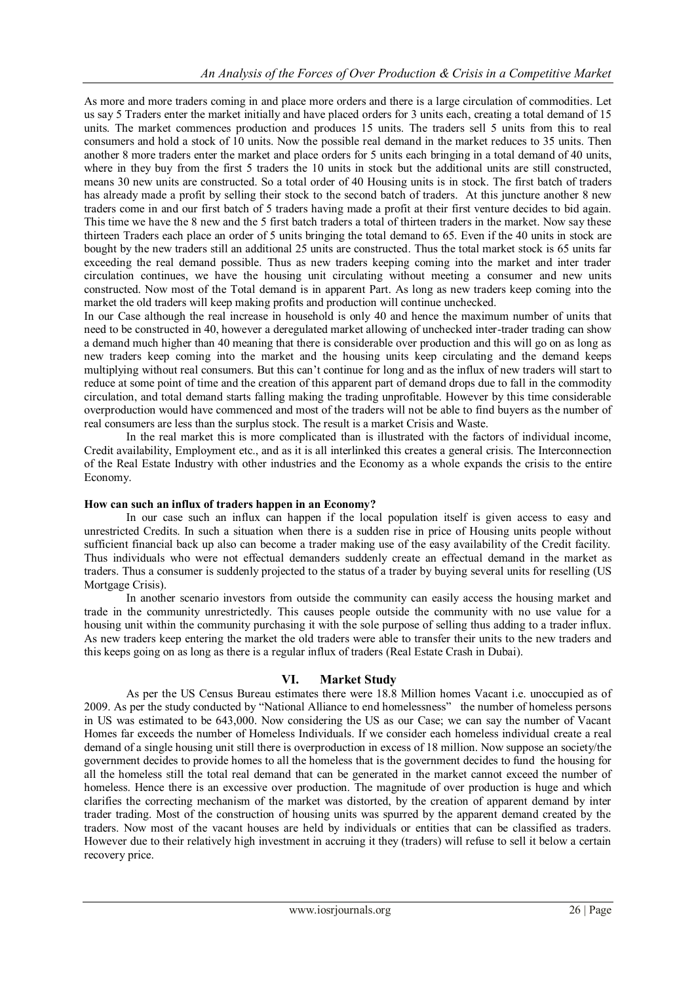As more and more traders coming in and place more orders and there is a large circulation of commodities. Let us say 5 Traders enter the market initially and have placed orders for 3 units each, creating a total demand of 15 units. The market commences production and produces 15 units. The traders sell 5 units from this to real consumers and hold a stock of 10 units. Now the possible real demand in the market reduces to 35 units. Then another 8 more traders enter the market and place orders for 5 units each bringing in a total demand of 40 units, where in they buy from the first 5 traders the 10 units in stock but the additional units are still constructed, means 30 new units are constructed. So a total order of 40 Housing units is in stock. The first batch of traders has already made a profit by selling their stock to the second batch of traders. At this juncture another 8 new traders come in and our first batch of 5 traders having made a profit at their first venture decides to bid again. This time we have the 8 new and the 5 first batch traders a total of thirteen traders in the market. Now say these thirteen Traders each place an order of 5 units bringing the total demand to 65. Even if the 40 units in stock are bought by the new traders still an additional 25 units are constructed. Thus the total market stock is 65 units far exceeding the real demand possible. Thus as new traders keeping coming into the market and inter trader circulation continues, we have the housing unit circulating without meeting a consumer and new units constructed. Now most of the Total demand is in apparent Part. As long as new traders keep coming into the market the old traders will keep making profits and production will continue unchecked.

In our Case although the real increase in household is only 40 and hence the maximum number of units that need to be constructed in 40, however a deregulated market allowing of unchecked inter-trader trading can show a demand much higher than 40 meaning that there is considerable over production and this will go on as long as new traders keep coming into the market and the housing units keep circulating and the demand keeps multiplying without real consumers. But this can"t continue for long and as the influx of new traders will start to reduce at some point of time and the creation of this apparent part of demand drops due to fall in the commodity circulation, and total demand starts falling making the trading unprofitable. However by this time considerable overproduction would have commenced and most of the traders will not be able to find buyers as the number of real consumers are less than the surplus stock. The result is a market Crisis and Waste.

In the real market this is more complicated than is illustrated with the factors of individual income, Credit availability, Employment etc., and as it is all interlinked this creates a general crisis. The Interconnection of the Real Estate Industry with other industries and the Economy as a whole expands the crisis to the entire Economy.

# **How can such an influx of traders happen in an Economy?**

In our case such an influx can happen if the local population itself is given access to easy and unrestricted Credits. In such a situation when there is a sudden rise in price of Housing units people without sufficient financial back up also can become a trader making use of the easy availability of the Credit facility. Thus individuals who were not effectual demanders suddenly create an effectual demand in the market as traders. Thus a consumer is suddenly projected to the status of a trader by buying several units for reselling (US Mortgage Crisis).

In another scenario investors from outside the community can easily access the housing market and trade in the community unrestrictedly. This causes people outside the community with no use value for a housing unit within the community purchasing it with the sole purpose of selling thus adding to a trader influx. As new traders keep entering the market the old traders were able to transfer their units to the new traders and this keeps going on as long as there is a regular influx of traders (Real Estate Crash in Dubai).

# **VI. Market Study**

As per the US Census Bureau estimates there were 18.8 Million homes Vacant i.e. unoccupied as of 2009. As per the study conducted by "National Alliance to end homelessness" the number of homeless persons in US was estimated to be 643,000. Now considering the US as our Case; we can say the number of Vacant Homes far exceeds the number of Homeless Individuals. If we consider each homeless individual create a real demand of a single housing unit still there is overproduction in excess of 18 million. Now suppose an society/the government decides to provide homes to all the homeless that is the government decides to fund the housing for all the homeless still the total real demand that can be generated in the market cannot exceed the number of homeless. Hence there is an excessive over production. The magnitude of over production is huge and which clarifies the correcting mechanism of the market was distorted, by the creation of apparent demand by inter trader trading. Most of the construction of housing units was spurred by the apparent demand created by the traders. Now most of the vacant houses are held by individuals or entities that can be classified as traders. However due to their relatively high investment in accruing it they (traders) will refuse to sell it below a certain recovery price.